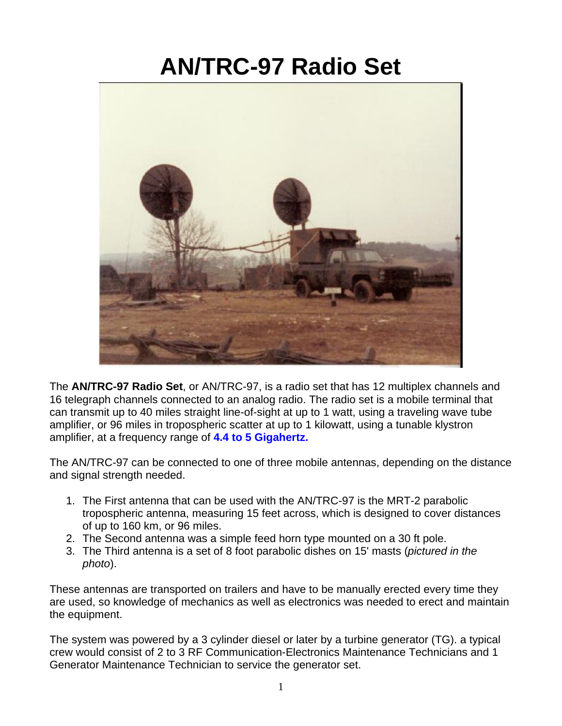## **AN/TRC-97 Radio Set**



The **AN/TRC-97 Radio Set**, or AN/TRC-97, is a radio set that has 12 multiplex channels and 16 telegraph channels connected to an analog radio. The radio set is a mobile terminal that can transmit up to 40 miles straight line-of-sight at up to 1 watt, using a traveling wave tube amplifier, or 96 miles in tropospheric scatter at up to 1 kilowatt, using a tunable klystron amplifier, at a frequency range of **4.4 to 5 Gigahertz.**

The AN/TRC-97 can be connected to one of three mobile antennas, depending on the distance and signal strength needed.

- 1. The First antenna that can be used with the AN/TRC-97 is the MRT-2 parabolic tropospheric antenna, measuring 15 feet across, which is designed to cover distances of up to 160 km, or 96 miles.
- 2. The Second antenna was a simple feed horn type mounted on a 30 ft pole.
- 3. The Third antenna is a set of 8 foot parabolic dishes on 15' masts (*pictured in the photo*).

These antennas are transported on trailers and have to be manually erected every time they are used, so knowledge of mechanics as well as electronics was needed to erect and maintain the equipment.

The system was powered by a 3 cylinder diesel or later by a turbine generator (TG). a typical crew would consist of 2 to 3 RF Communication-Electronics Maintenance Technicians and 1 Generator Maintenance Technician to service the generator set.